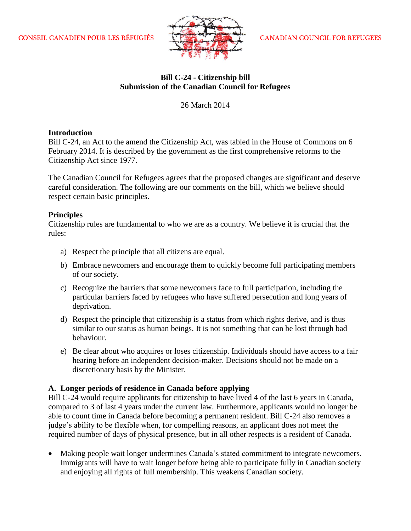

# **Bill C-24 - Citizenship bill Submission of the Canadian Council for Refugees**

26 March 2014

## **Introduction**

Bill C-24, an Act to the amend the Citizenship Act, was tabled in the House of Commons on 6 February 2014. It is described by the government as the first comprehensive reforms to the Citizenship Act since 1977.

The Canadian Council for Refugees agrees that the proposed changes are significant and deserve careful consideration. The following are our comments on the bill, which we believe should respect certain basic principles.

### **Principles**

Citizenship rules are fundamental to who we are as a country. We believe it is crucial that the rules:

- a) Respect the principle that all citizens are equal.
- b) Embrace newcomers and encourage them to quickly become full participating members of our society.
- c) Recognize the barriers that some newcomers face to full participation, including the particular barriers faced by refugees who have suffered persecution and long years of deprivation.
- d) Respect the principle that citizenship is a status from which rights derive, and is thus similar to our status as human beings. It is not something that can be lost through bad behaviour.
- e) Be clear about who acquires or loses citizenship. Individuals should have access to a fair hearing before an independent decision-maker. Decisions should not be made on a discretionary basis by the Minister.

# **A. Longer periods of residence in Canada before applying**

Bill C-24 would require applicants for citizenship to have lived 4 of the last 6 years in Canada, compared to 3 of last 4 years under the current law. Furthermore, applicants would no longer be able to count time in Canada before becoming a permanent resident. Bill C-24 also removes a judge's ability to be flexible when, for compelling reasons, an applicant does not meet the required number of days of physical presence, but in all other respects is a resident of Canada.

 Making people wait longer undermines Canada's stated commitment to integrate newcomers. Immigrants will have to wait longer before being able to participate fully in Canadian society and enjoying all rights of full membership. This weakens Canadian society.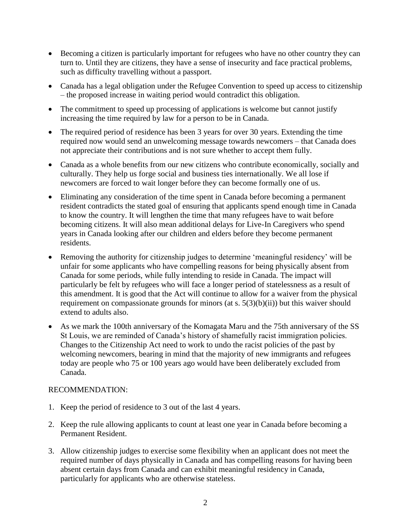- Becoming a citizen is particularly important for refugees who have no other country they can turn to. Until they are citizens, they have a sense of insecurity and face practical problems, such as difficulty travelling without a passport.
- Canada has a legal obligation under the Refugee Convention to speed up access to citizenship – the proposed increase in waiting period would contradict this obligation.
- The commitment to speed up processing of applications is welcome but cannot justify increasing the time required by law for a person to be in Canada.
- The required period of residence has been 3 years for over 30 years. Extending the time required now would send an unwelcoming message towards newcomers – that Canada does not appreciate their contributions and is not sure whether to accept them fully.
- Canada as a whole benefits from our new citizens who contribute economically, socially and culturally. They help us forge social and business ties internationally. We all lose if newcomers are forced to wait longer before they can become formally one of us.
- Eliminating any consideration of the time spent in Canada before becoming a permanent resident contradicts the stated goal of ensuring that applicants spend enough time in Canada to know the country. It will lengthen the time that many refugees have to wait before becoming citizens. It will also mean additional delays for Live-In Caregivers who spend years in Canada looking after our children and elders before they become permanent residents.
- Removing the authority for citizenship judges to determine 'meaningful residency' will be unfair for some applicants who have compelling reasons for being physically absent from Canada for some periods, while fully intending to reside in Canada. The impact will particularly be felt by refugees who will face a longer period of statelessness as a result of this amendment. It is good that the Act will continue to allow for a waiver from the physical requirement on compassionate grounds for minors (at s. 5(3)(b)(ii)) but this waiver should extend to adults also.
- As we mark the 100th anniversary of the Komagata Maru and the 75th anniversary of the SS St Louis, we are reminded of Canada's history of shamefully racist immigration policies. Changes to the Citizenship Act need to work to undo the racist policies of the past by welcoming newcomers, bearing in mind that the majority of new immigrants and refugees today are people who 75 or 100 years ago would have been deliberately excluded from Canada.

# RECOMMENDATION:

- 1. Keep the period of residence to 3 out of the last 4 years.
- 2. Keep the rule allowing applicants to count at least one year in Canada before becoming a Permanent Resident.
- 3. Allow citizenship judges to exercise some flexibility when an applicant does not meet the required number of days physically in Canada and has compelling reasons for having been absent certain days from Canada and can exhibit meaningful residency in Canada, particularly for applicants who are otherwise stateless.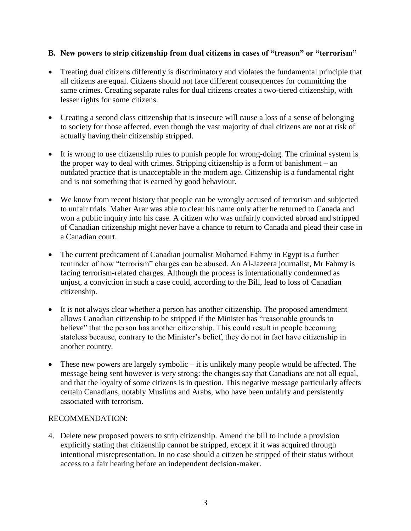# **B. New powers to strip citizenship from dual citizens in cases of "treason" or "terrorism"**

- Treating dual citizens differently is discriminatory and violates the fundamental principle that all citizens are equal. Citizens should not face different consequences for committing the same crimes. Creating separate rules for dual citizens creates a two-tiered citizenship, with lesser rights for some citizens.
- Creating a second class citizenship that is insecure will cause a loss of a sense of belonging to society for those affected, even though the vast majority of dual citizens are not at risk of actually having their citizenship stripped.
- It is wrong to use citizenship rules to punish people for wrong-doing. The criminal system is the proper way to deal with crimes. Stripping citizenship is a form of banishment – an outdated practice that is unacceptable in the modern age. Citizenship is a fundamental right and is not something that is earned by good behaviour.
- We know from recent history that people can be wrongly accused of terrorism and subjected to unfair trials. Maher Arar was able to clear his name only after he returned to Canada and won a public inquiry into his case. A citizen who was unfairly convicted abroad and stripped of Canadian citizenship might never have a chance to return to Canada and plead their case in a Canadian court.
- The current predicament of Canadian journalist Mohamed Fahmy in Egypt is a further reminder of how "terrorism" charges can be abused. An Al-Jazeera journalist, Mr Fahmy is facing terrorism-related charges. Although the process is internationally condemned as unjust, a conviction in such a case could, according to the Bill, lead to loss of Canadian citizenship.
- It is not always clear whether a person has another citizenship. The proposed amendment allows Canadian citizenship to be stripped if the Minister has "reasonable grounds to believe" that the person has another citizenship. This could result in people becoming stateless because, contrary to the Minister's belief, they do not in fact have citizenship in another country.
- These new powers are largely symbolic it is unlikely many people would be affected. The message being sent however is very strong: the changes say that Canadians are not all equal, and that the loyalty of some citizens is in question. This negative message particularly affects certain Canadians, notably Muslims and Arabs, who have been unfairly and persistently associated with terrorism.

# RECOMMENDATION:

4. Delete new proposed powers to strip citizenship. Amend the bill to include a provision explicitly stating that citizenship cannot be stripped, except if it was acquired through intentional misrepresentation. In no case should a citizen be stripped of their status without access to a fair hearing before an independent decision-maker.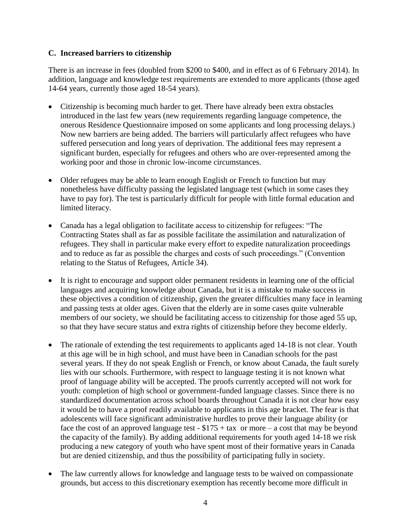### **C. Increased barriers to citizenship**

There is an increase in fees (doubled from \$200 to \$400, and in effect as of 6 February 2014). In addition, language and knowledge test requirements are extended to more applicants (those aged 14-64 years, currently those aged 18-54 years).

- Citizenship is becoming much harder to get. There have already been extra obstacles introduced in the last few years (new requirements regarding language competence, the onerous Residence Questionnaire imposed on some applicants and long processing delays.) Now new barriers are being added. The barriers will particularly affect refugees who have suffered persecution and long years of deprivation. The additional fees may represent a significant burden, especially for refugees and others who are over-represented among the working poor and those in chronic low-income circumstances.
- Older refugees may be able to learn enough English or French to function but may nonetheless have difficulty passing the legislated language test (which in some cases they have to pay for). The test is particularly difficult for people with little formal education and limited literacy.
- Canada has a legal obligation to facilitate access to citizenship for refugees: "The Contracting States shall as far as possible facilitate the assimilation and naturalization of refugees. They shall in particular make every effort to expedite naturalization proceedings and to reduce as far as possible the charges and costs of such proceedings." (Convention relating to the Status of Refugees, Article 34).
- It is right to encourage and support older permanent residents in learning one of the official languages and acquiring knowledge about Canada, but it is a mistake to make success in these objectives a condition of citizenship, given the greater difficulties many face in learning and passing tests at older ages. Given that the elderly are in some cases quite vulnerable members of our society, we should be facilitating access to citizenship for those aged 55 up, so that they have secure status and extra rights of citizenship before they become elderly.
- The rationale of extending the test requirements to applicants aged 14-18 is not clear. Youth at this age will be in high school, and must have been in Canadian schools for the past several years. If they do not speak English or French, or know about Canada, the fault surely lies with our schools. Furthermore, with respect to language testing it is not known what proof of language ability will be accepted. The proofs currently accepted will not work for youth: completion of high school or government-funded language classes. Since there is no standardized documentation across school boards throughout Canada it is not clear how easy it would be to have a proof readily available to applicants in this age bracket. The fear is that adolescents will face significant administrative hurdles to prove their language ability (or face the cost of an approved language test -  $$175 + tax$  or more – a cost that may be beyond the capacity of the family). By adding additional requirements for youth aged 14-18 we risk producing a new category of youth who have spent most of their formative years in Canada but are denied citizenship, and thus the possibility of participating fully in society.
- The law currently allows for knowledge and language tests to be waived on compassionate grounds, but access to this discretionary exemption has recently become more difficult in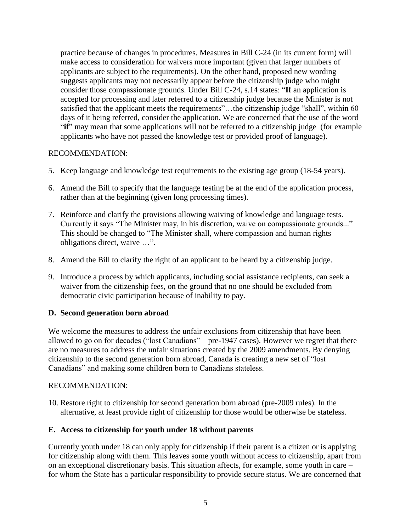practice because of changes in procedures. Measures in Bill C-24 (in its current form) will make access to consideration for waivers more important (given that larger numbers of applicants are subject to the requirements). On the other hand, proposed new wording suggests applicants may not necessarily appear before the citizenship judge who might consider those compassionate grounds. Under Bill C-24, s.14 states: "**If** an application is accepted for processing and later referred to a citizenship judge because the Minister is not satisfied that the applicant meets the requirements"...the citizenship judge "shall", within 60 days of it being referred, consider the application. We are concerned that the use of the word "**if**" may mean that some applications will not be referred to a citizenship judge (for example applicants who have not passed the knowledge test or provided proof of language).

# RECOMMENDATION:

- 5. Keep language and knowledge test requirements to the existing age group (18-54 years).
- 6. Amend the Bill to specify that the language testing be at the end of the application process, rather than at the beginning (given long processing times).
- 7. Reinforce and clarify the provisions allowing waiving of knowledge and language tests. Currently it says "The Minister may, in his discretion, waive on compassionate grounds..." This should be changed to "The Minister shall, where compassion and human rights obligations direct, waive …".
- 8. Amend the Bill to clarify the right of an applicant to be heard by a citizenship judge.
- 9. Introduce a process by which applicants, including social assistance recipients, can seek a waiver from the citizenship fees, on the ground that no one should be excluded from democratic civic participation because of inability to pay.

# **D. Second generation born abroad**

We welcome the measures to address the unfair exclusions from citizenship that have been allowed to go on for decades ("lost Canadians" – pre-1947 cases). However we regret that there are no measures to address the unfair situations created by the 2009 amendments. By denying citizenship to the second generation born abroad, Canada is creating a new set of "lost Canadians" and making some children born to Canadians stateless.

#### RECOMMENDATION:

10. Restore right to citizenship for second generation born abroad (pre-2009 rules). In the alternative, at least provide right of citizenship for those would be otherwise be stateless.

#### **E. Access to citizenship for youth under 18 without parents**

Currently youth under 18 can only apply for citizenship if their parent is a citizen or is applying for citizenship along with them. This leaves some youth without access to citizenship, apart from on an exceptional discretionary basis. This situation affects, for example, some youth in care – for whom the State has a particular responsibility to provide secure status. We are concerned that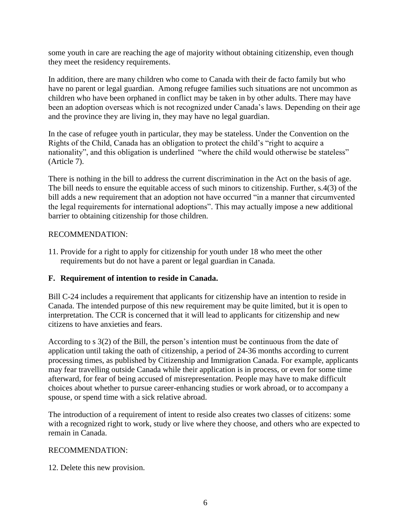some youth in care are reaching the age of majority without obtaining citizenship, even though they meet the residency requirements.

In addition, there are many children who come to Canada with their de facto family but who have no parent or legal guardian. Among refugee families such situations are not uncommon as children who have been orphaned in conflict may be taken in by other adults. There may have been an adoption overseas which is not recognized under Canada's laws. Depending on their age and the province they are living in, they may have no legal guardian.

In the case of refugee youth in particular, they may be stateless. Under the Convention on the Rights of the Child, Canada has an obligation to protect the child's "right to acquire a nationality", and this obligation is underlined "where the child would otherwise be stateless" (Article 7).

There is nothing in the bill to address the current discrimination in the Act on the basis of age. The bill needs to ensure the equitable access of such minors to citizenship. Further, s.4(3) of the bill adds a new requirement that an adoption not have occurred "in a manner that circumvented the legal requirements for international adoptions". This may actually impose a new additional barrier to obtaining citizenship for those children.

### RECOMMENDATION:

11. Provide for a right to apply for citizenship for youth under 18 who meet the other requirements but do not have a parent or legal guardian in Canada.

# **F. Requirement of intention to reside in Canada.**

Bill C-24 includes a requirement that applicants for citizenship have an intention to reside in Canada. The intended purpose of this new requirement may be quite limited, but it is open to interpretation. The CCR is concerned that it will lead to applicants for citizenship and new citizens to have anxieties and fears.

According to s 3(2) of the Bill, the person's intention must be continuous from the date of application until taking the oath of citizenship, a period of 24-36 months according to current processing times, as published by Citizenship and Immigration Canada. For example, applicants may fear travelling outside Canada while their application is in process, or even for some time afterward, for fear of being accused of misrepresentation. People may have to make difficult choices about whether to pursue career-enhancing studies or work abroad, or to accompany a spouse, or spend time with a sick relative abroad.

The introduction of a requirement of intent to reside also creates two classes of citizens: some with a recognized right to work, study or live where they choose, and others who are expected to remain in Canada.

#### RECOMMENDATION:

12. Delete this new provision.